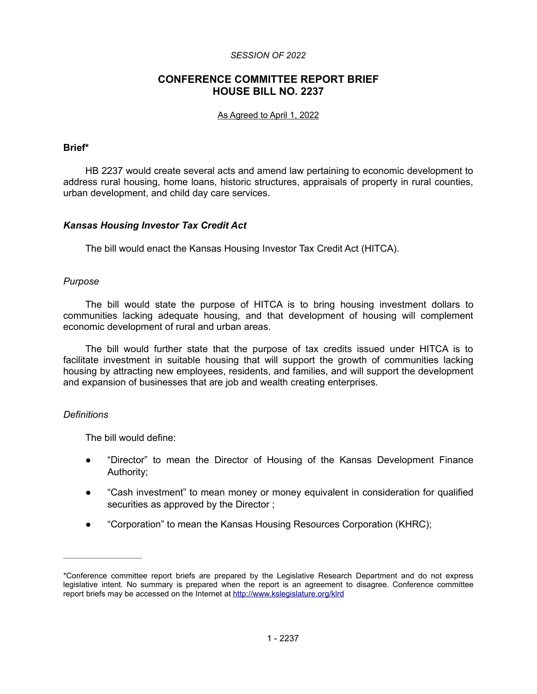#### *SESSION OF 2022*

# **CONFERENCE COMMITTEE REPORT BRIEF HOUSE BILL NO. 2237**

#### As Agreed to April 1, 2022

#### **Brief\***

HB 2237 would create several acts and amend law pertaining to economic development to address rural housing, home loans, historic structures, appraisals of property in rural counties, urban development, and child day care services.

### *Kansas Housing Investor Tax Credit Act*

The bill would enact the Kansas Housing Investor Tax Credit Act (HITCA).

#### *Purpose*

The bill would state the purpose of HITCA is to bring housing investment dollars to communities lacking adequate housing, and that development of housing will complement economic development of rural and urban areas.

The bill would further state that the purpose of tax credits issued under HITCA is to facilitate investment in suitable housing that will support the growth of communities lacking housing by attracting new employees, residents, and families, and will support the development and expansion of businesses that are job and wealth creating enterprises.

#### *Definitions*

The bill would define:

- "Director" to mean the Director of Housing of the Kansas Development Finance Authority;
- "Cash investment" to mean money or money equivalent in consideration for qualified securities as approved by the Director ;
- "Corporation" to mean the Kansas Housing Resources Corporation (KHRC);

<sup>\*</sup>Conference committee report briefs are prepared by the Legislative Research Department and do not express legislative intent. No summary is prepared when the report is an agreement to disagree. Conference committee report briefs may be accessed on the Internet at<http://www.kslegislature.org/klrd>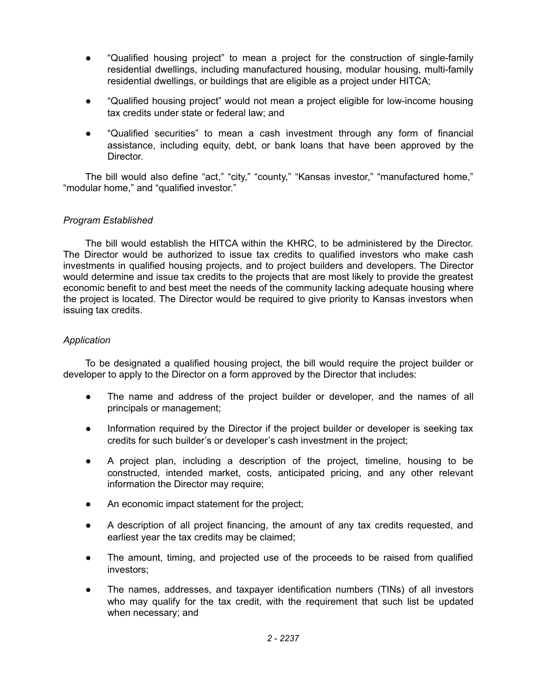- "Qualified housing project" to mean a project for the construction of single-family residential dwellings, including manufactured housing, modular housing, multi-family residential dwellings, or buildings that are eligible as a project under HITCA;
- "Qualified housing project" would not mean a project eligible for low-income housing tax credits under state or federal law; and
- "Qualified securities" to mean a cash investment through any form of financial assistance, including equity, debt, or bank loans that have been approved by the Director.

The bill would also define "act," "city," "county," "Kansas investor," "manufactured home," "modular home," and "qualified investor."

# *Program Established*

The bill would establish the HITCA within the KHRC, to be administered by the Director. The Director would be authorized to issue tax credits to qualified investors who make cash investments in qualified housing projects, and to project builders and developers. The Director would determine and issue tax credits to the projects that are most likely to provide the greatest economic benefit to and best meet the needs of the community lacking adequate housing where the project is located. The Director would be required to give priority to Kansas investors when issuing tax credits.

# *Application*

To be designated a qualified housing project, the bill would require the project builder or developer to apply to the Director on a form approved by the Director that includes:

- The name and address of the project builder or developer, and the names of all principals or management;
- Information required by the Director if the project builder or developer is seeking tax credits for such builder's or developer's cash investment in the project;
- A project plan, including a description of the project, timeline, housing to be constructed, intended market, costs, anticipated pricing, and any other relevant information the Director may require;
- An economic impact statement for the project;
- A description of all project financing, the amount of any tax credits requested, and earliest year the tax credits may be claimed;
- The amount, timing, and projected use of the proceeds to be raised from qualified investors;
- The names, addresses, and taxpayer identification numbers (TINs) of all investors who may qualify for the tax credit, with the requirement that such list be updated when necessary; and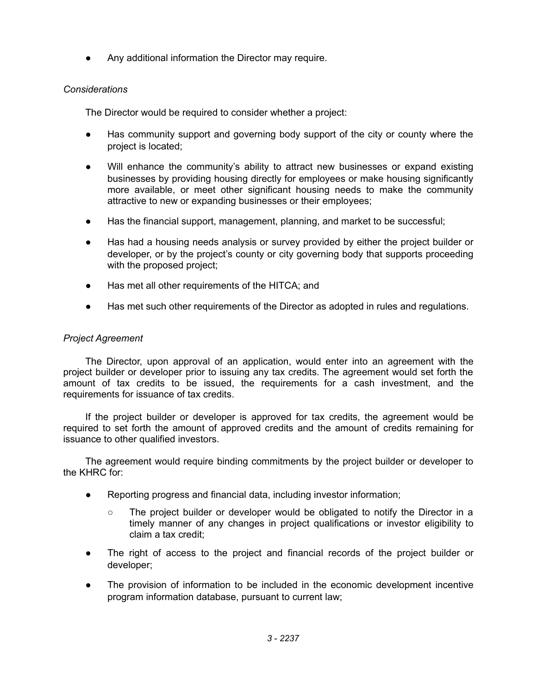Any additional information the Director may require.

# *Considerations*

The Director would be required to consider whether a project:

- Has community support and governing body support of the city or county where the project is located;
- Will enhance the community's ability to attract new businesses or expand existing businesses by providing housing directly for employees or make housing significantly more available, or meet other significant housing needs to make the community attractive to new or expanding businesses or their employees;
- Has the financial support, management, planning, and market to be successful;
- Has had a housing needs analysis or survey provided by either the project builder or developer, or by the project's county or city governing body that supports proceeding with the proposed project;
- Has met all other requirements of the HITCA; and
- Has met such other requirements of the Director as adopted in rules and regulations.

# *Project Agreement*

The Director, upon approval of an application, would enter into an agreement with the project builder or developer prior to issuing any tax credits. The agreement would set forth the amount of tax credits to be issued, the requirements for a cash investment, and the requirements for issuance of tax credits.

If the project builder or developer is approved for tax credits, the agreement would be required to set forth the amount of approved credits and the amount of credits remaining for issuance to other qualified investors.

The agreement would require binding commitments by the project builder or developer to the KHRC for:

- Reporting progress and financial data, including investor information;
	- The project builder or developer would be obligated to notify the Director in a timely manner of any changes in project qualifications or investor eligibility to claim a tax credit;
- The right of access to the project and financial records of the project builder or developer;
- The provision of information to be included in the economic development incentive program information database, pursuant to current law;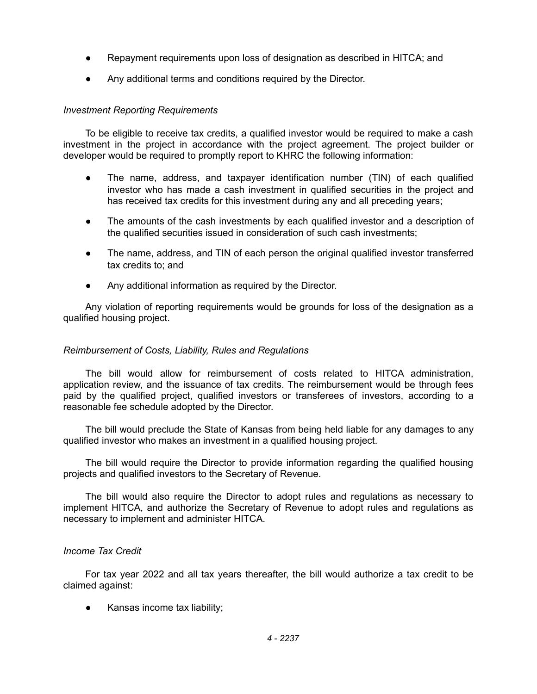- Repayment requirements upon loss of designation as described in HITCA; and
- Any additional terms and conditions required by the Director.

# *Investment Reporting Requirements*

To be eligible to receive tax credits, a qualified investor would be required to make a cash investment in the project in accordance with the project agreement. The project builder or developer would be required to promptly report to KHRC the following information:

- The name, address, and taxpayer identification number (TIN) of each qualified investor who has made a cash investment in qualified securities in the project and has received tax credits for this investment during any and all preceding years;
- The amounts of the cash investments by each qualified investor and a description of the qualified securities issued in consideration of such cash investments;
- The name, address, and TIN of each person the original qualified investor transferred tax credits to; and
- Any additional information as required by the Director.

Any violation of reporting requirements would be grounds for loss of the designation as a qualified housing project.

# *Reimbursement of Costs, Liability, Rules and Regulations*

The bill would allow for reimbursement of costs related to HITCA administration, application review, and the issuance of tax credits. The reimbursement would be through fees paid by the qualified project, qualified investors or transferees of investors, according to a reasonable fee schedule adopted by the Director.

The bill would preclude the State of Kansas from being held liable for any damages to any qualified investor who makes an investment in a qualified housing project.

The bill would require the Director to provide information regarding the qualified housing projects and qualified investors to the Secretary of Revenue.

The bill would also require the Director to adopt rules and regulations as necessary to implement HITCA, and authorize the Secretary of Revenue to adopt rules and regulations as necessary to implement and administer HITCA.

# *Income Tax Credit*

For tax year 2022 and all tax years thereafter, the bill would authorize a tax credit to be claimed against:

Kansas income tax liability;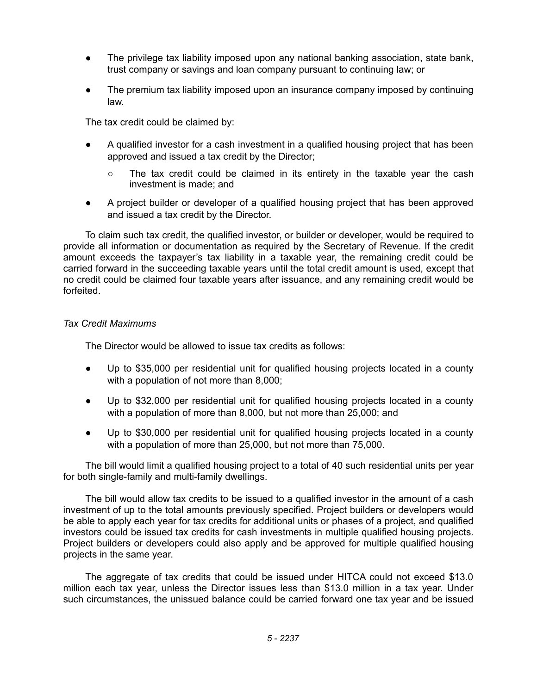- The privilege tax liability imposed upon any national banking association, state bank, trust company or savings and loan company pursuant to continuing law; or
- The premium tax liability imposed upon an insurance company imposed by continuing law.

The tax credit could be claimed by:

- A qualified investor for a cash investment in a qualified housing project that has been approved and issued a tax credit by the Director;
	- The tax credit could be claimed in its entirety in the taxable year the cash investment is made; and
- A project builder or developer of a qualified housing project that has been approved and issued a tax credit by the Director.

To claim such tax credit, the qualified investor, or builder or developer, would be required to provide all information or documentation as required by the Secretary of Revenue. If the credit amount exceeds the taxpayer's tax liability in a taxable year, the remaining credit could be carried forward in the succeeding taxable years until the total credit amount is used, except that no credit could be claimed four taxable years after issuance, and any remaining credit would be forfeited.

# *Tax Credit Maximums*

The Director would be allowed to issue tax credits as follows:

- Up to \$35,000 per residential unit for qualified housing projects located in a county with a population of not more than 8,000;
- Up to \$32,000 per residential unit for qualified housing projects located in a county with a population of more than 8,000, but not more than 25,000; and
- Up to \$30,000 per residential unit for qualified housing projects located in a county with a population of more than 25,000, but not more than 75,000.

The bill would limit a qualified housing project to a total of 40 such residential units per year for both single-family and multi-family dwellings.

The bill would allow tax credits to be issued to a qualified investor in the amount of a cash investment of up to the total amounts previously specified. Project builders or developers would be able to apply each year for tax credits for additional units or phases of a project, and qualified investors could be issued tax credits for cash investments in multiple qualified housing projects. Project builders or developers could also apply and be approved for multiple qualified housing projects in the same year.

The aggregate of tax credits that could be issued under HITCA could not exceed \$13.0 million each tax year, unless the Director issues less than \$13.0 million in a tax year. Under such circumstances, the unissued balance could be carried forward one tax year and be issued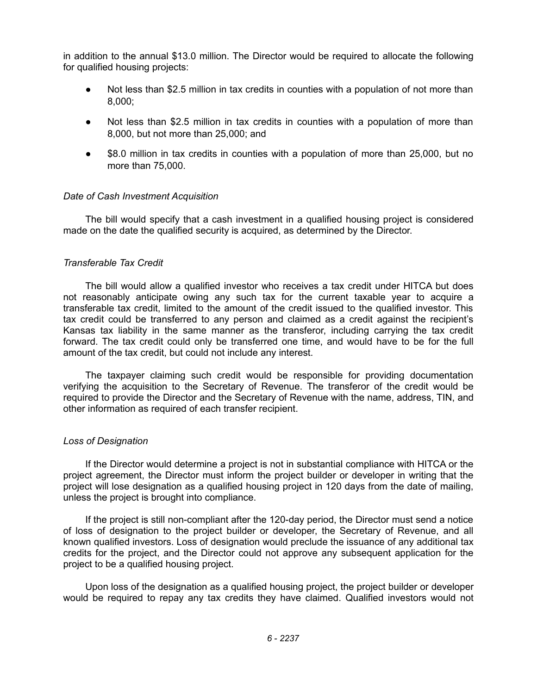in addition to the annual \$13.0 million. The Director would be required to allocate the following for qualified housing projects:

- Not less than \$2.5 million in tax credits in counties with a population of not more than 8,000;
- Not less than \$2.5 million in tax credits in counties with a population of more than 8,000, but not more than 25,000; and
- \$8.0 million in tax credits in counties with a population of more than 25,000, but no more than 75,000.

### *Date of Cash Investment Acquisition*

The bill would specify that a cash investment in a qualified housing project is considered made on the date the qualified security is acquired, as determined by the Director.

### *Transferable Tax Credit*

The bill would allow a qualified investor who receives a tax credit under HITCA but does not reasonably anticipate owing any such tax for the current taxable year to acquire a transferable tax credit, limited to the amount of the credit issued to the qualified investor. This tax credit could be transferred to any person and claimed as a credit against the recipient's Kansas tax liability in the same manner as the transferor, including carrying the tax credit forward. The tax credit could only be transferred one time, and would have to be for the full amount of the tax credit, but could not include any interest.

The taxpayer claiming such credit would be responsible for providing documentation verifying the acquisition to the Secretary of Revenue. The transferor of the credit would be required to provide the Director and the Secretary of Revenue with the name, address, TIN, and other information as required of each transfer recipient.

#### *Loss of Designation*

If the Director would determine a project is not in substantial compliance with HITCA or the project agreement, the Director must inform the project builder or developer in writing that the project will lose designation as a qualified housing project in 120 days from the date of mailing, unless the project is brought into compliance.

If the project is still non-compliant after the 120-day period, the Director must send a notice of loss of designation to the project builder or developer, the Secretary of Revenue, and all known qualified investors. Loss of designation would preclude the issuance of any additional tax credits for the project, and the Director could not approve any subsequent application for the project to be a qualified housing project.

Upon loss of the designation as a qualified housing project, the project builder or developer would be required to repay any tax credits they have claimed. Qualified investors would not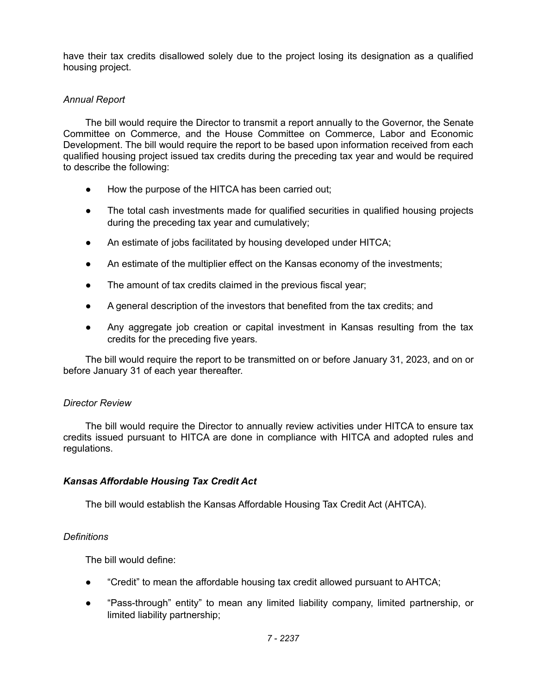have their tax credits disallowed solely due to the project losing its designation as a qualified housing project.

# *Annual Report*

The bill would require the Director to transmit a report annually to the Governor, the Senate Committee on Commerce, and the House Committee on Commerce, Labor and Economic Development. The bill would require the report to be based upon information received from each qualified housing project issued tax credits during the preceding tax year and would be required to describe the following:

- How the purpose of the HITCA has been carried out;
- The total cash investments made for qualified securities in qualified housing projects during the preceding tax year and cumulatively;
- An estimate of jobs facilitated by housing developed under HITCA;
- An estimate of the multiplier effect on the Kansas economy of the investments;
- The amount of tax credits claimed in the previous fiscal year;
- A general description of the investors that benefited from the tax credits; and
- Any aggregate job creation or capital investment in Kansas resulting from the tax credits for the preceding five years.

The bill would require the report to be transmitted on or before January 31, 2023, and on or before January 31 of each year thereafter.

# *Director Review*

The bill would require the Director to annually review activities under HITCA to ensure tax credits issued pursuant to HITCA are done in compliance with HITCA and adopted rules and regulations.

# *Kansas Affordable Housing Tax Credit Act*

The bill would establish the Kansas Affordable Housing Tax Credit Act (AHTCA).

# *Definitions*

The bill would define:

- "Credit" to mean the affordable housing tax credit allowed pursuant to AHTCA;
- "Pass-through" entity" to mean any limited liability company, limited partnership, or limited liability partnership;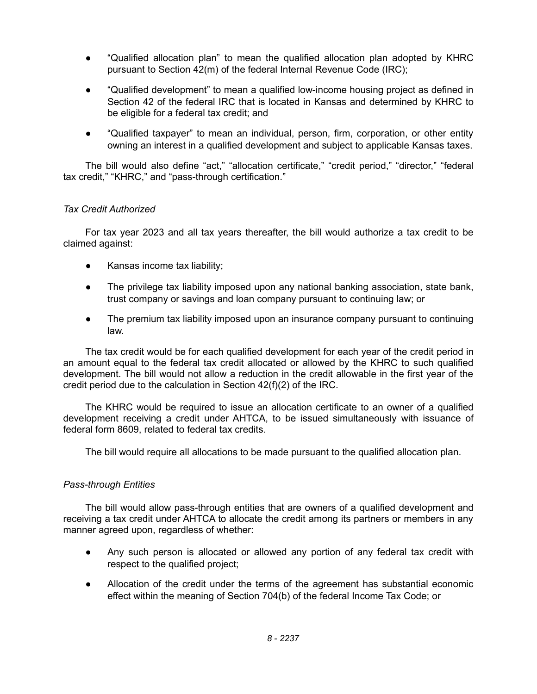- "Qualified allocation plan" to mean the qualified allocation plan adopted by KHRC pursuant to Section 42(m) of the federal Internal Revenue Code (IRC);
- "Qualified development" to mean a qualified low-income housing project as defined in Section 42 of the federal IRC that is located in Kansas and determined by KHRC to be eligible for a federal tax credit; and
- "Qualified taxpayer" to mean an individual, person, firm, corporation, or other entity owning an interest in a qualified development and subject to applicable Kansas taxes.

The bill would also define "act," "allocation certificate," "credit period," "director," "federal tax credit," "KHRC," and "pass-through certification."

# *Tax Credit Authorized*

For tax year 2023 and all tax years thereafter, the bill would authorize a tax credit to be claimed against:

- Kansas income tax liability;
- The privilege tax liability imposed upon any national banking association, state bank, trust company or savings and loan company pursuant to continuing law; or
- The premium tax liability imposed upon an insurance company pursuant to continuing law.

The tax credit would be for each qualified development for each year of the credit period in an amount equal to the federal tax credit allocated or allowed by the KHRC to such qualified development. The bill would not allow a reduction in the credit allowable in the first year of the credit period due to the calculation in Section 42(f)(2) of the IRC.

The KHRC would be required to issue an allocation certificate to an owner of a qualified development receiving a credit under AHTCA, to be issued simultaneously with issuance of federal form 8609, related to federal tax credits.

The bill would require all allocations to be made pursuant to the qualified allocation plan.

# *Pass-through Entities*

The bill would allow pass-through entities that are owners of a qualified development and receiving a tax credit under AHTCA to allocate the credit among its partners or members in any manner agreed upon, regardless of whether:

- Any such person is allocated or allowed any portion of any federal tax credit with respect to the qualified project;
- Allocation of the credit under the terms of the agreement has substantial economic effect within the meaning of Section 704(b) of the federal Income Tax Code; or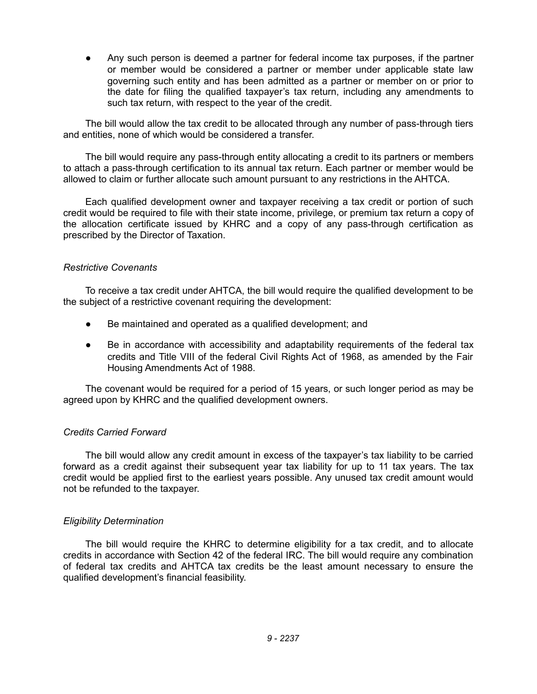Any such person is deemed a partner for federal income tax purposes, if the partner or member would be considered a partner or member under applicable state law governing such entity and has been admitted as a partner or member on or prior to the date for filing the qualified taxpayer's tax return, including any amendments to such tax return, with respect to the year of the credit.

The bill would allow the tax credit to be allocated through any number of pass-through tiers and entities, none of which would be considered a transfer.

The bill would require any pass-through entity allocating a credit to its partners or members to attach a pass-through certification to its annual tax return. Each partner or member would be allowed to claim or further allocate such amount pursuant to any restrictions in the AHTCA.

Each qualified development owner and taxpayer receiving a tax credit or portion of such credit would be required to file with their state income, privilege, or premium tax return a copy of the allocation certificate issued by KHRC and a copy of any pass-through certification as prescribed by the Director of Taxation.

### *Restrictive Covenants*

To receive a tax credit under AHTCA, the bill would require the qualified development to be the subject of a restrictive covenant requiring the development:

- Be maintained and operated as a qualified development; and
- Be in accordance with accessibility and adaptability requirements of the federal tax credits and Title VIII of the federal Civil Rights Act of 1968, as amended by the Fair Housing Amendments Act of 1988.

The covenant would be required for a period of 15 years, or such longer period as may be agreed upon by KHRC and the qualified development owners.

# *Credits Carried Forward*

The bill would allow any credit amount in excess of the taxpayer's tax liability to be carried forward as a credit against their subsequent year tax liability for up to 11 tax years. The tax credit would be applied first to the earliest years possible. Any unused tax credit amount would not be refunded to the taxpayer.

# *Eligibility Determination*

The bill would require the KHRC to determine eligibility for a tax credit, and to allocate credits in accordance with Section 42 of the federal IRC. The bill would require any combination of federal tax credits and AHTCA tax credits be the least amount necessary to ensure the qualified development's financial feasibility.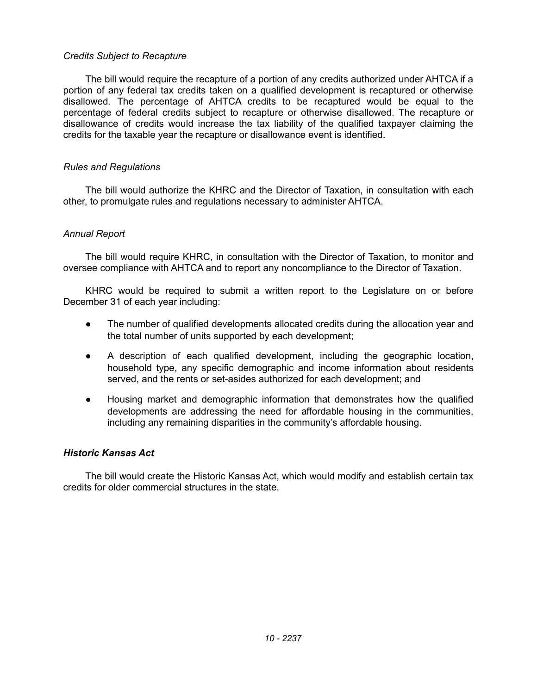### *Credits Subject to Recapture*

The bill would require the recapture of a portion of any credits authorized under AHTCA if a portion of any federal tax credits taken on a qualified development is recaptured or otherwise disallowed. The percentage of AHTCA credits to be recaptured would be equal to the percentage of federal credits subject to recapture or otherwise disallowed. The recapture or disallowance of credits would increase the tax liability of the qualified taxpayer claiming the credits for the taxable year the recapture or disallowance event is identified.

### *Rules and Regulations*

The bill would authorize the KHRC and the Director of Taxation, in consultation with each other, to promulgate rules and regulations necessary to administer AHTCA.

### *Annual Report*

The bill would require KHRC, in consultation with the Director of Taxation, to monitor and oversee compliance with AHTCA and to report any noncompliance to the Director of Taxation.

KHRC would be required to submit a written report to the Legislature on or before December 31 of each year including:

- The number of qualified developments allocated credits during the allocation year and the total number of units supported by each development;
- A description of each qualified development, including the geographic location, household type, any specific demographic and income information about residents served, and the rents or set-asides authorized for each development; and
- Housing market and demographic information that demonstrates how the qualified developments are addressing the need for affordable housing in the communities, including any remaining disparities in the community's affordable housing.

#### *Historic Kansas Act*

The bill would create the Historic Kansas Act, which would modify and establish certain tax credits for older commercial structures in the state.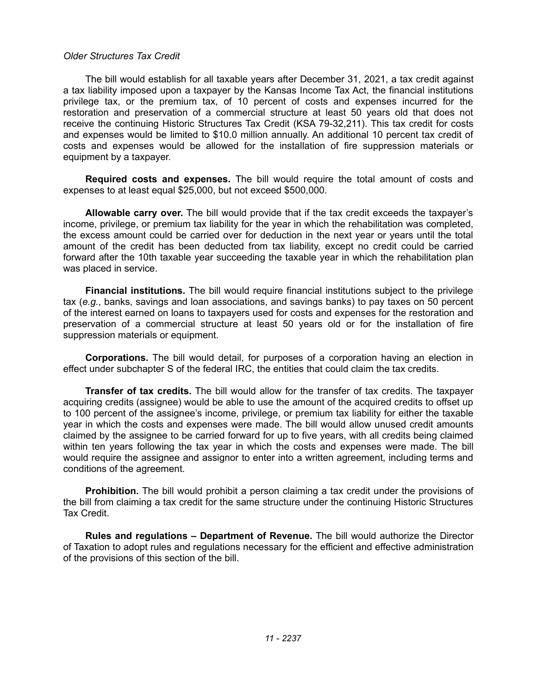#### *Older Structures Tax Credit*

The bill would establish for all taxable years after December 31, 2021, a tax credit against a tax liability imposed upon a taxpayer by the Kansas Income Tax Act, the financial institutions privilege tax, or the premium tax, of 10 percent of costs and expenses incurred for the restoration and preservation of a commercial structure at least 50 years old that does not receive the continuing Historic Structures Tax Credit (KSA 79-32,211). This tax credit for costs and expenses would be limited to \$10.0 million annually. An additional 10 percent tax credit of costs and expenses would be allowed for the installation of fire suppression materials or equipment by a taxpayer.

**Required costs and expenses.** The bill would require the total amount of costs and expenses to at least equal \$25,000, but not exceed \$500,000.

**Allowable carry over.** The bill would provide that if the tax credit exceeds the taxpayer's income, privilege, or premium tax liability for the year in which the rehabilitation was completed, the excess amount could be carried over for deduction in the next year or years until the total amount of the credit has been deducted from tax liability, except no credit could be carried forward after the 10th taxable year succeeding the taxable year in which the rehabilitation plan was placed in service.

**Financial institutions.** The bill would require financial institutions subject to the privilege tax (*e.g.*, banks, savings and loan associations, and savings banks) to pay taxes on 50 percent of the interest earned on loans to taxpayers used for costs and expenses for the restoration and preservation of a commercial structure at least 50 years old or for the installation of fire suppression materials or equipment.

**Corporations.** The bill would detail, for purposes of a corporation having an election in effect under subchapter S of the federal IRC, the entities that could claim the tax credits.

**Transfer of tax credits.** The bill would allow for the transfer of tax credits. The taxpayer acquiring credits (assignee) would be able to use the amount of the acquired credits to offset up to 100 percent of the assignee's income, privilege, or premium tax liability for either the taxable year in which the costs and expenses were made. The bill would allow unused credit amounts claimed by the assignee to be carried forward for up to five years, with all credits being claimed within ten years following the tax year in which the costs and expenses were made. The bill would require the assignee and assignor to enter into a written agreement, including terms and conditions of the agreement.

**Prohibition.** The bill would prohibit a person claiming a tax credit under the provisions of the bill from claiming a tax credit for the same structure under the continuing Historic Structures Tax Credit.

**Rules and regulations – Department of Revenue.** The bill would authorize the Director of Taxation to adopt rules and regulations necessary for the efficient and effective administration of the provisions of this section of the bill.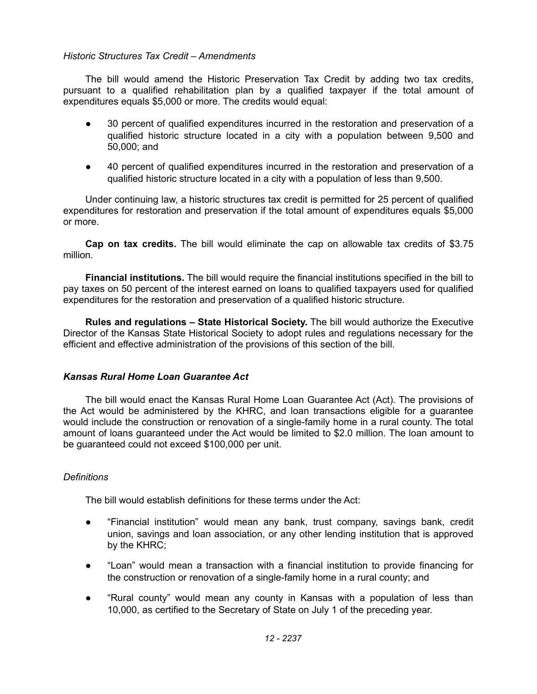# *Historic Structures Tax Credit – Amendments*

The bill would amend the Historic Preservation Tax Credit by adding two tax credits, pursuant to a qualified rehabilitation plan by a qualified taxpayer if the total amount of expenditures equals \$5,000 or more. The credits would equal:

- 30 percent of qualified expenditures incurred in the restoration and preservation of a qualified historic structure located in a city with a population between 9,500 and 50,000; and
- 40 percent of qualified expenditures incurred in the restoration and preservation of a qualified historic structure located in a city with a population of less than 9,500.

Under continuing law, a historic structures tax credit is permitted for 25 percent of qualified expenditures for restoration and preservation if the total amount of expenditures equals \$5,000 or more.

**Cap on tax credits.** The bill would eliminate the cap on allowable tax credits of \$3.75 million.

**Financial institutions.** The bill would require the financial institutions specified in the bill to pay taxes on 50 percent of the interest earned on loans to qualified taxpayers used for qualified expenditures for the restoration and preservation of a qualified historic structure.

**Rules and regulations – State Historical Society.** The bill would authorize the Executive Director of the Kansas State Historical Society to adopt rules and regulations necessary for the efficient and effective administration of the provisions of this section of the bill.

#### *Kansas Rural Home Loan Guarantee Act*

The bill would enact the Kansas Rural Home Loan Guarantee Act (Act). The provisions of the Act would be administered by the KHRC, and loan transactions eligible for a guarantee would include the construction or renovation of a single-family home in a rural county. The total amount of loans guaranteed under the Act would be limited to \$2.0 million. The loan amount to be guaranteed could not exceed \$100,000 per unit.

#### *Definitions*

The bill would establish definitions for these terms under the Act:

- "Financial institution" would mean any bank, trust company, savings bank, credit union, savings and loan association, or any other lending institution that is approved by the KHRC;
- "Loan" would mean a transaction with a financial institution to provide financing for the construction or renovation of a single-family home in a rural county; and
- "Rural county" would mean any county in Kansas with a population of less than 10,000, as certified to the Secretary of State on July 1 of the preceding year.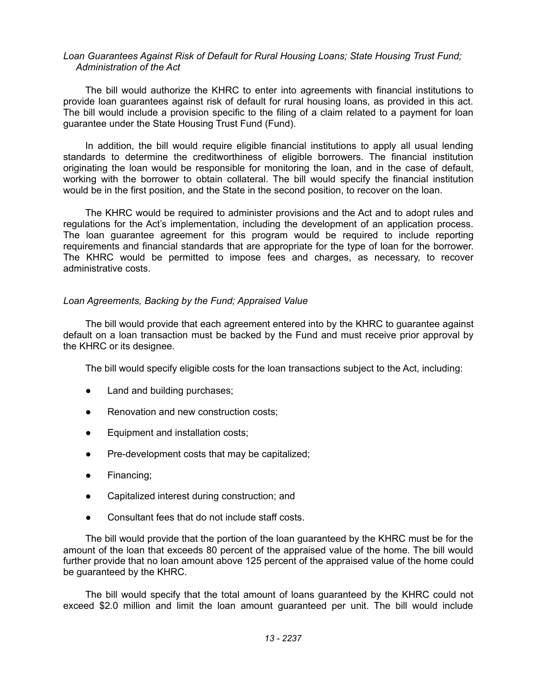#### *Loan Guarantees Against Risk of Default for Rural Housing Loans; State Housing Trust Fund; Administration of the Act*

The bill would authorize the KHRC to enter into agreements with financial institutions to provide loan guarantees against risk of default for rural housing loans, as provided in this act. The bill would include a provision specific to the filing of a claim related to a payment for loan guarantee under the State Housing Trust Fund (Fund).

In addition, the bill would require eligible financial institutions to apply all usual lending standards to determine the creditworthiness of eligible borrowers. The financial institution originating the loan would be responsible for monitoring the loan, and in the case of default, working with the borrower to obtain collateral. The bill would specify the financial institution would be in the first position, and the State in the second position, to recover on the loan.

The KHRC would be required to administer provisions and the Act and to adopt rules and regulations for the Act's implementation, including the development of an application process. The loan guarantee agreement for this program would be required to include reporting requirements and financial standards that are appropriate for the type of loan for the borrower. The KHRC would be permitted to impose fees and charges, as necessary, to recover administrative costs.

# *Loan Agreements, Backing by the Fund; Appraised Value*

The bill would provide that each agreement entered into by the KHRC to guarantee against default on a loan transaction must be backed by the Fund and must receive prior approval by the KHRC or its designee.

The bill would specify eligible costs for the loan transactions subject to the Act, including:

- Land and building purchases;
- Renovation and new construction costs;
- Equipment and installation costs;
- Pre-development costs that may be capitalized;
- Financing;
- Capitalized interest during construction; and
- Consultant fees that do not include staff costs.

The bill would provide that the portion of the loan guaranteed by the KHRC must be for the amount of the loan that exceeds 80 percent of the appraised value of the home. The bill would further provide that no loan amount above 125 percent of the appraised value of the home could be guaranteed by the KHRC.

The bill would specify that the total amount of loans guaranteed by the KHRC could not exceed \$2.0 million and limit the loan amount guaranteed per unit. The bill would include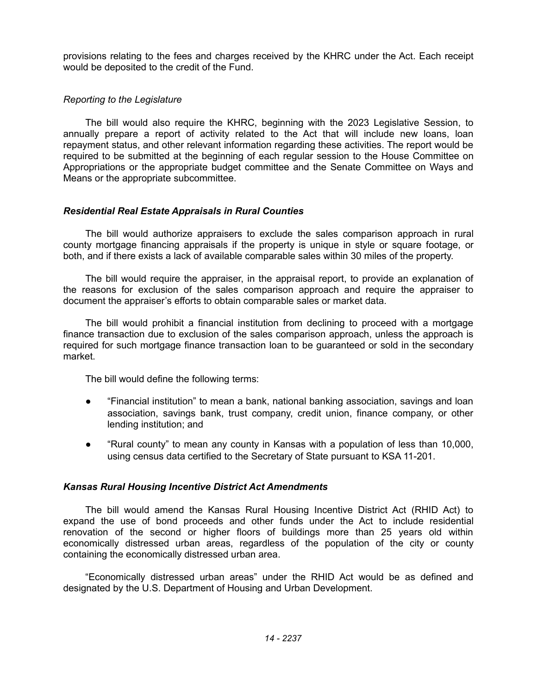provisions relating to the fees and charges received by the KHRC under the Act. Each receipt would be deposited to the credit of the Fund.

# *Reporting to the Legislature*

The bill would also require the KHRC, beginning with the 2023 Legislative Session, to annually prepare a report of activity related to the Act that will include new loans, loan repayment status, and other relevant information regarding these activities. The report would be required to be submitted at the beginning of each regular session to the House Committee on Appropriations or the appropriate budget committee and the Senate Committee on Ways and Means or the appropriate subcommittee.

# *Residential Real Estate Appraisals in Rural Counties*

The bill would authorize appraisers to exclude the sales comparison approach in rural county mortgage financing appraisals if the property is unique in style or square footage, or both, and if there exists a lack of available comparable sales within 30 miles of the property.

The bill would require the appraiser, in the appraisal report, to provide an explanation of the reasons for exclusion of the sales comparison approach and require the appraiser to document the appraiser's efforts to obtain comparable sales or market data.

The bill would prohibit a financial institution from declining to proceed with a mortgage finance transaction due to exclusion of the sales comparison approach, unless the approach is required for such mortgage finance transaction loan to be guaranteed or sold in the secondary market.

The bill would define the following terms:

- "Financial institution" to mean a bank, national banking association, savings and loan association, savings bank, trust company, credit union, finance company, or other lending institution; and
- "Rural county" to mean any county in Kansas with a population of less than 10,000, using census data certified to the Secretary of State pursuant to KSA 11-201.

# *Kansas Rural Housing Incentive District Act Amendments*

The bill would amend the Kansas Rural Housing Incentive District Act (RHID Act) to expand the use of bond proceeds and other funds under the Act to include residential renovation of the second or higher floors of buildings more than 25 years old within economically distressed urban areas, regardless of the population of the city or county containing the economically distressed urban area.

"Economically distressed urban areas" under the RHID Act would be as defined and designated by the U.S. Department of Housing and Urban Development.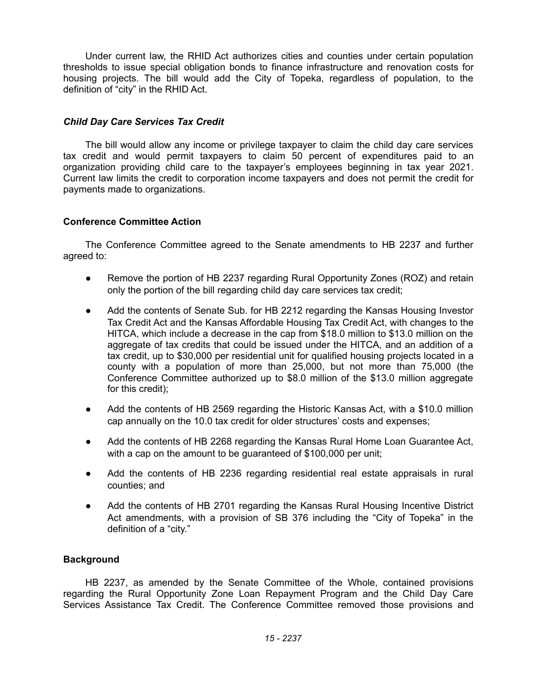Under current law, the RHID Act authorizes cities and counties under certain population thresholds to issue special obligation bonds to finance infrastructure and renovation costs for housing projects. The bill would add the City of Topeka, regardless of population, to the definition of "city" in the RHID Act.

# *Child Day Care Services Tax Credit*

The bill would allow any income or privilege taxpayer to claim the child day care services tax credit and would permit taxpayers to claim 50 percent of expenditures paid to an organization providing child care to the taxpayer's employees beginning in tax year 2021. Current law limits the credit to corporation income taxpayers and does not permit the credit for payments made to organizations.

# **Conference Committee Action**

The Conference Committee agreed to the Senate amendments to HB 2237 and further agreed to:

- Remove the portion of HB 2237 regarding Rural Opportunity Zones (ROZ) and retain only the portion of the bill regarding child day care services tax credit;
- Add the contents of Senate Sub. for HB 2212 regarding the Kansas Housing Investor Tax Credit Act and the Kansas Affordable Housing Tax Credit Act, with changes to the HITCA, which include a decrease in the cap from \$18.0 million to \$13.0 million on the aggregate of tax credits that could be issued under the HITCA, and an addition of a tax credit, up to \$30,000 per residential unit for qualified housing projects located in a county with a population of more than 25,000, but not more than 75,000 (the Conference Committee authorized up to \$8.0 million of the \$13.0 million aggregate for this credit);
- Add the contents of HB 2569 regarding the Historic Kansas Act, with a \$10.0 million cap annually on the 10.0 tax credit for older structures' costs and expenses;
- Add the contents of HB 2268 regarding the Kansas Rural Home Loan Guarantee Act, with a cap on the amount to be guaranteed of \$100,000 per unit;
- Add the contents of HB 2236 regarding residential real estate appraisals in rural counties; and
- Add the contents of HB 2701 regarding the Kansas Rural Housing Incentive District Act amendments, with a provision of SB 376 including the "City of Topeka" in the definition of a "city."

# **Background**

HB 2237, as amended by the Senate Committee of the Whole, contained provisions regarding the Rural Opportunity Zone Loan Repayment Program and the Child Day Care Services Assistance Tax Credit. The Conference Committee removed those provisions and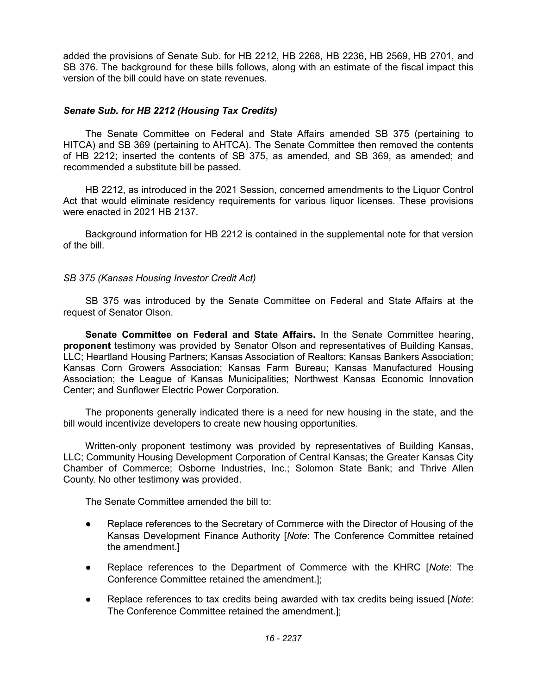added the provisions of Senate Sub. for HB 2212, HB 2268, HB 2236, HB 2569, HB 2701, and SB 376. The background for these bills follows, along with an estimate of the fiscal impact this version of the bill could have on state revenues.

# *Senate Sub. for HB 2212 (Housing Tax Credits)*

The Senate Committee on Federal and State Affairs amended SB 375 (pertaining to HITCA) and SB 369 (pertaining to AHTCA). The Senate Committee then removed the contents of HB 2212; inserted the contents of SB 375, as amended, and SB 369, as amended; and recommended a substitute bill be passed.

HB 2212, as introduced in the 2021 Session, concerned amendments to the Liquor Control Act that would eliminate residency requirements for various liquor licenses. These provisions were enacted in 2021 HB 2137.

Background information for HB 2212 is contained in the supplemental note for that version of the bill.

*SB 375 (Kansas Housing Investor Credit Act)*

SB 375 was introduced by the Senate Committee on Federal and State Affairs at the request of Senator Olson.

**Senate Committee on Federal and State Affairs.** In the Senate Committee hearing, **proponent** testimony was provided by Senator Olson and representatives of Building Kansas, LLC; Heartland Housing Partners; Kansas Association of Realtors; Kansas Bankers Association; Kansas Corn Growers Association; Kansas Farm Bureau; Kansas Manufactured Housing Association; the League of Kansas Municipalities; Northwest Kansas Economic Innovation Center; and Sunflower Electric Power Corporation.

The proponents generally indicated there is a need for new housing in the state, and the bill would incentivize developers to create new housing opportunities.

Written-only proponent testimony was provided by representatives of Building Kansas, LLC; Community Housing Development Corporation of Central Kansas; the Greater Kansas City Chamber of Commerce; Osborne Industries, Inc.; Solomon State Bank; and Thrive Allen County. No other testimony was provided.

The Senate Committee amended the bill to:

- Replace references to the Secretary of Commerce with the Director of Housing of the Kansas Development Finance Authority [*Note*: The Conference Committee retained the amendment.]
- Replace references to the Department of Commerce with the KHRC [*Note*: The Conference Committee retained the amendment.];
- Replace references to tax credits being awarded with tax credits being issued [*Note*: The Conference Committee retained the amendment.];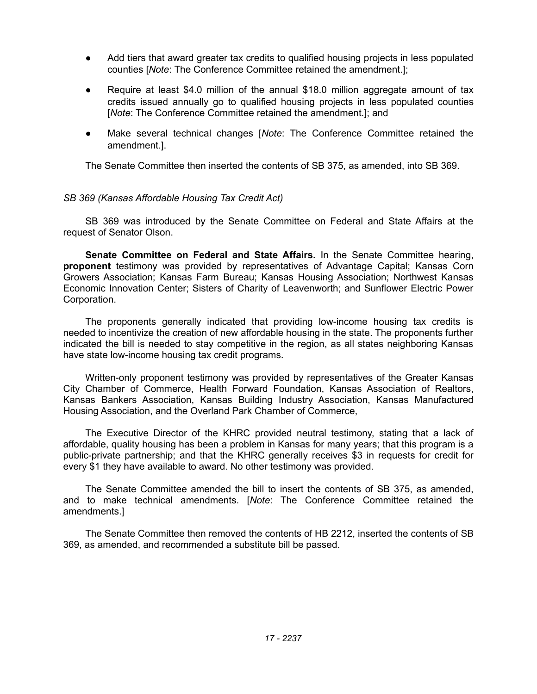- Add tiers that award greater tax credits to qualified housing projects in less populated counties [*Note*: The Conference Committee retained the amendment.];
- Require at least \$4.0 million of the annual \$18.0 million aggregate amount of tax credits issued annually go to qualified housing projects in less populated counties [*Note*: The Conference Committee retained the amendment.]; and
- Make several technical changes [*Note*: The Conference Committee retained the amendment.].

The Senate Committee then inserted the contents of SB 375, as amended, into SB 369.

### *SB 369 (Kansas Affordable Housing Tax Credit Act)*

SB 369 was introduced by the Senate Committee on Federal and State Affairs at the request of Senator Olson.

**Senate Committee on Federal and State Affairs.** In the Senate Committee hearing, **proponent** testimony was provided by representatives of Advantage Capital; Kansas Corn Growers Association; Kansas Farm Bureau; Kansas Housing Association; Northwest Kansas Economic Innovation Center; Sisters of Charity of Leavenworth; and Sunflower Electric Power Corporation.

The proponents generally indicated that providing low-income housing tax credits is needed to incentivize the creation of new affordable housing in the state. The proponents further indicated the bill is needed to stay competitive in the region, as all states neighboring Kansas have state low-income housing tax credit programs.

Written-only proponent testimony was provided by representatives of the Greater Kansas City Chamber of Commerce, Health Forward Foundation, Kansas Association of Realtors, Kansas Bankers Association, Kansas Building Industry Association, Kansas Manufactured Housing Association, and the Overland Park Chamber of Commerce,

The Executive Director of the KHRC provided neutral testimony, stating that a lack of affordable, quality housing has been a problem in Kansas for many years; that this program is a public-private partnership; and that the KHRC generally receives \$3 in requests for credit for every \$1 they have available to award. No other testimony was provided.

The Senate Committee amended the bill to insert the contents of SB 375, as amended, and to make technical amendments. [*Note*: The Conference Committee retained the amendments.]

The Senate Committee then removed the contents of HB 2212, inserted the contents of SB 369, as amended, and recommended a substitute bill be passed.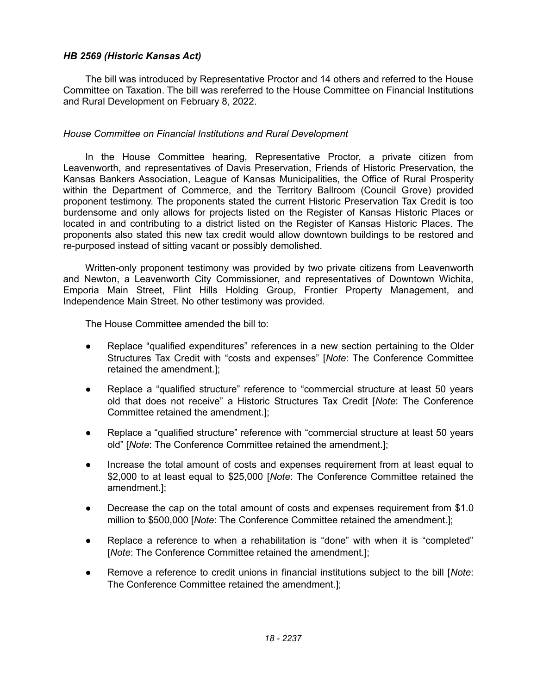# *HB 2569 (Historic Kansas Act)*

The bill was introduced by Representative Proctor and 14 others and referred to the House Committee on Taxation. The bill was rereferred to the House Committee on Financial Institutions and Rural Development on February 8, 2022.

### *House Committee on Financial Institutions and Rural Development*

In the House Committee hearing, Representative Proctor, a private citizen from Leavenworth, and representatives of Davis Preservation, Friends of Historic Preservation, the Kansas Bankers Association, League of Kansas Municipalities, the Office of Rural Prosperity within the Department of Commerce, and the Territory Ballroom (Council Grove) provided proponent testimony. The proponents stated the current Historic Preservation Tax Credit is too burdensome and only allows for projects listed on the Register of Kansas Historic Places or located in and contributing to a district listed on the Register of Kansas Historic Places. The proponents also stated this new tax credit would allow downtown buildings to be restored and re-purposed instead of sitting vacant or possibly demolished.

Written-only proponent testimony was provided by two private citizens from Leavenworth and Newton, a Leavenworth City Commissioner, and representatives of Downtown Wichita, Emporia Main Street, Flint Hills Holding Group, Frontier Property Management, and Independence Main Street. No other testimony was provided.

The House Committee amended the bill to:

- Replace "qualified expenditures" references in a new section pertaining to the Older Structures Tax Credit with "costs and expenses" [*Note*: The Conference Committee retained the amendment.];
- Replace a "qualified structure" reference to "commercial structure at least 50 years old that does not receive" a Historic Structures Tax Credit [*Note*: The Conference Committee retained the amendment.];
- Replace a "qualified structure" reference with "commercial structure at least 50 years old" [*Note*: The Conference Committee retained the amendment.];
- Increase the total amount of costs and expenses requirement from at least equal to \$2,000 to at least equal to \$25,000 [*Note*: The Conference Committee retained the amendment.];
- Decrease the cap on the total amount of costs and expenses requirement from \$1.0 million to \$500,000 [*Note*: The Conference Committee retained the amendment.];
- Replace a reference to when a rehabilitation is "done" with when it is "completed" [*Note*: The Conference Committee retained the amendment.];
- Remove a reference to credit unions in financial institutions subject to the bill [*Note*: The Conference Committee retained the amendment.];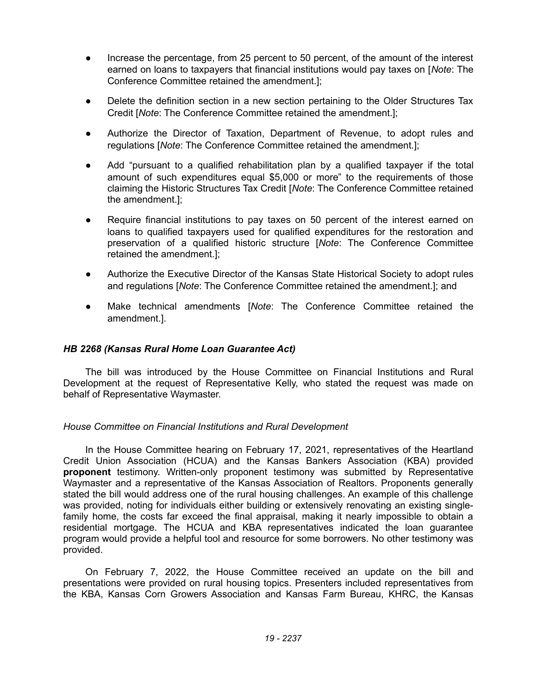- Increase the percentage, from 25 percent to 50 percent, of the amount of the interest earned on loans to taxpayers that financial institutions would pay taxes on [*Note*: The Conference Committee retained the amendment.];
- Delete the definition section in a new section pertaining to the Older Structures Tax Credit [*Note*: The Conference Committee retained the amendment.];
- Authorize the Director of Taxation, Department of Revenue, to adopt rules and regulations [*Note*: The Conference Committee retained the amendment.];
- Add "pursuant to a qualified rehabilitation plan by a qualified taxpayer if the total amount of such expenditures equal \$5,000 or more" to the requirements of those claiming the Historic Structures Tax Credit [*Note*: The Conference Committee retained the amendment.];
- Require financial institutions to pay taxes on 50 percent of the interest earned on loans to qualified taxpayers used for qualified expenditures for the restoration and preservation of a qualified historic structure [*Note*: The Conference Committee retained the amendment.];
- Authorize the Executive Director of the Kansas State Historical Society to adopt rules and regulations [*Note*: The Conference Committee retained the amendment.]; and
- Make technical amendments *[Note: The Conference Committee retained the* amendment.].

# *HB 2268 (Kansas Rural Home Loan Guarantee Act)*

The bill was introduced by the House Committee on Financial Institutions and Rural Development at the request of Representative Kelly, who stated the request was made on behalf of Representative Waymaster.

# *House Committee on Financial Institutions and Rural Development*

In the House Committee hearing on February 17, 2021, representatives of the Heartland Credit Union Association (HCUA) and the Kansas Bankers Association (KBA) provided **proponent** testimony. Written-only proponent testimony was submitted by Representative Waymaster and a representative of the Kansas Association of Realtors. Proponents generally stated the bill would address one of the rural housing challenges. An example of this challenge was provided, noting for individuals either building or extensively renovating an existing singlefamily home, the costs far exceed the final appraisal, making it nearly impossible to obtain a residential mortgage. The HCUA and KBA representatives indicated the loan guarantee program would provide a helpful tool and resource for some borrowers. No other testimony was provided.

On February 7, 2022, the House Committee received an update on the bill and presentations were provided on rural housing topics. Presenters included representatives from the KBA, Kansas Corn Growers Association and Kansas Farm Bureau, KHRC, the Kansas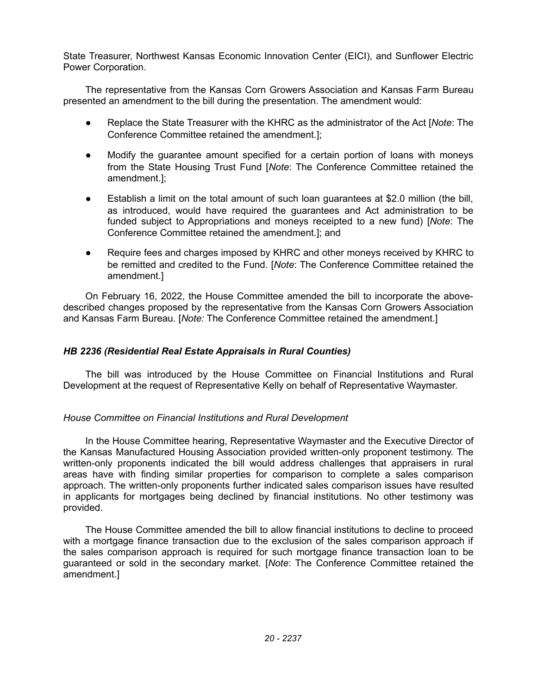State Treasurer, Northwest Kansas Economic Innovation Center (EICI), and Sunflower Electric Power Corporation.

The representative from the Kansas Corn Growers Association and Kansas Farm Bureau presented an amendment to the bill during the presentation. The amendment would:

- Replace the State Treasurer with the KHRC as the administrator of the Act [*Note*: The Conference Committee retained the amendment.];
- Modify the guarantee amount specified for a certain portion of loans with moneys from the State Housing Trust Fund [*Note*: The Conference Committee retained the amendment.];
- Establish a limit on the total amount of such loan guarantees at \$2.0 million (the bill, as introduced, would have required the guarantees and Act administration to be funded subject to Appropriations and moneys receipted to a new fund) [*Note*: The Conference Committee retained the amendment.]; and
- Require fees and charges imposed by KHRC and other moneys received by KHRC to be remitted and credited to the Fund. [*Note*: The Conference Committee retained the amendment.]

On February 16, 2022, the House Committee amended the bill to incorporate the abovedescribed changes proposed by the representative from the Kansas Corn Growers Association and Kansas Farm Bureau. [*Note:* The Conference Committee retained the amendment.]

# *HB 2236 (Residential Real Estate Appraisals in Rural Counties)*

The bill was introduced by the House Committee on Financial Institutions and Rural Development at the request of Representative Kelly on behalf of Representative Waymaster.

# *House Committee on Financial Institutions and Rural Development*

In the House Committee hearing, Representative Waymaster and the Executive Director of the Kansas Manufactured Housing Association provided written-only proponent testimony. The written-only proponents indicated the bill would address challenges that appraisers in rural areas have with finding similar properties for comparison to complete a sales comparison approach. The written-only proponents further indicated sales comparison issues have resulted in applicants for mortgages being declined by financial institutions. No other testimony was provided.

The House Committee amended the bill to allow financial institutions to decline to proceed with a mortgage finance transaction due to the exclusion of the sales comparison approach if the sales comparison approach is required for such mortgage finance transaction loan to be guaranteed or sold in the secondary market. [*Note*: The Conference Committee retained the amendment.]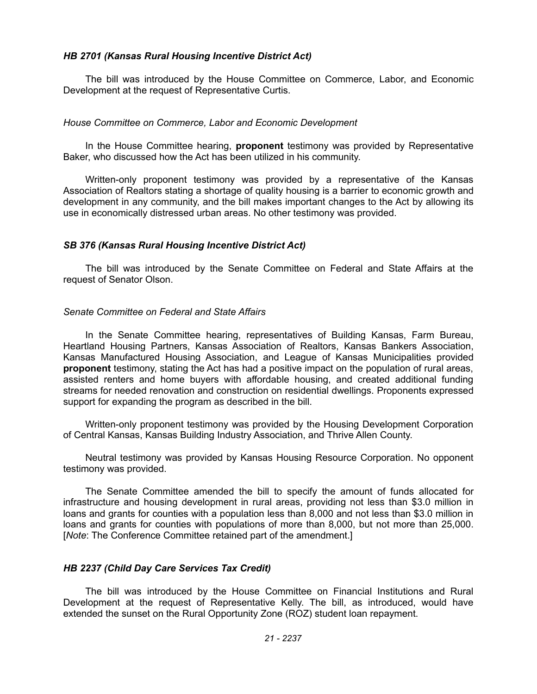### *HB 2701 (Kansas Rural Housing Incentive District Act)*

The bill was introduced by the House Committee on Commerce, Labor, and Economic Development at the request of Representative Curtis.

### *House Committee on Commerce, Labor and Economic Development*

In the House Committee hearing, **proponent** testimony was provided by Representative Baker, who discussed how the Act has been utilized in his community.

Written-only proponent testimony was provided by a representative of the Kansas Association of Realtors stating a shortage of quality housing is a barrier to economic growth and development in any community, and the bill makes important changes to the Act by allowing its use in economically distressed urban areas. No other testimony was provided.

### *SB 376 (Kansas Rural Housing Incentive District Act)*

The bill was introduced by the Senate Committee on Federal and State Affairs at the request of Senator Olson.

### *Senate Committee on Federal and State Affairs*

In the Senate Committee hearing, representatives of Building Kansas, Farm Bureau, Heartland Housing Partners, Kansas Association of Realtors, Kansas Bankers Association, Kansas Manufactured Housing Association, and League of Kansas Municipalities provided **proponent** testimony, stating the Act has had a positive impact on the population of rural areas, assisted renters and home buyers with affordable housing, and created additional funding streams for needed renovation and construction on residential dwellings. Proponents expressed support for expanding the program as described in the bill.

Written-only proponent testimony was provided by the Housing Development Corporation of Central Kansas, Kansas Building Industry Association, and Thrive Allen County.

Neutral testimony was provided by Kansas Housing Resource Corporation. No opponent testimony was provided.

The Senate Committee amended the bill to specify the amount of funds allocated for infrastructure and housing development in rural areas, providing not less than \$3.0 million in loans and grants for counties with a population less than 8,000 and not less than \$3.0 million in loans and grants for counties with populations of more than 8,000, but not more than 25,000. [*Note*: The Conference Committee retained part of the amendment.]

# *HB 2237 (Child Day Care Services Tax Credit)*

The bill was introduced by the House Committee on Financial Institutions and Rural Development at the request of Representative Kelly. The bill, as introduced, would have extended the sunset on the Rural Opportunity Zone (ROZ) student loan repayment.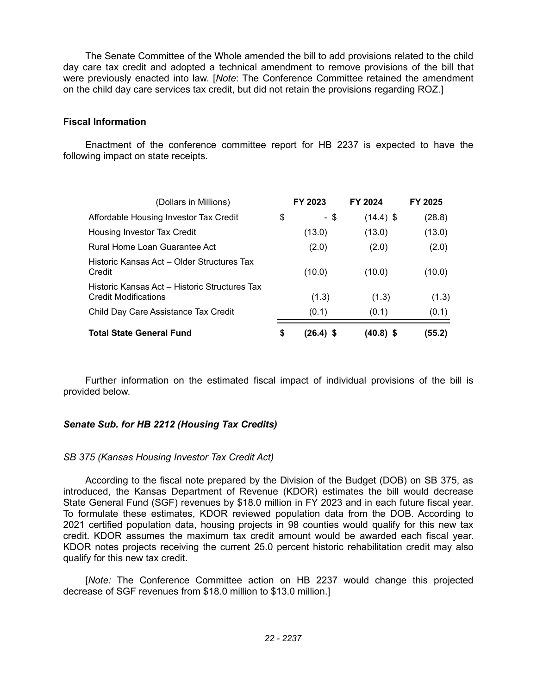The Senate Committee of the Whole amended the bill to add provisions related to the child day care tax credit and adopted a technical amendment to remove provisions of the bill that were previously enacted into law. [*Note*: The Conference Committee retained the amendment on the child day care services tax credit, but did not retain the provisions regarding ROZ.]

# **Fiscal Information**

Enactment of the conference committee report for HB 2237 is expected to have the following impact on state receipts.

| (Dollars in Millions)                                                        | FY 2023           | FY 2024     | FY 2025 |
|------------------------------------------------------------------------------|-------------------|-------------|---------|
| Affordable Housing Investor Tax Credit                                       | \$<br>- \$        | $(14.4)$ \$ | (28.8)  |
| Housing Investor Tax Credit                                                  | (13.0)            | (13.0)      | (13.0)  |
| Rural Home Loan Guarantee Act                                                | (2.0)             | (2.0)       | (2.0)   |
| Historic Kansas Act – Older Structures Tax<br>Credit                         | (10.0)            | (10.0)      | (10.0)  |
| Historic Kansas Act – Historic Structures Tax<br><b>Credit Modifications</b> | (1.3)             | (1.3)       | (1.3)   |
| Child Day Care Assistance Tax Credit                                         | (0.1)             | (0.1)       | (0.1)   |
| <b>Total State General Fund</b>                                              | \$<br>$(26.4)$ \$ | (40.8) \$   | (55.2)  |

Further information on the estimated fiscal impact of individual provisions of the bill is provided below.

# *Senate Sub. for HB 2212 (Housing Tax Credits)*

# *SB 375 (Kansas Housing Investor Tax Credit Act)*

According to the fiscal note prepared by the Division of the Budget (DOB) on SB 375, as introduced, the Kansas Department of Revenue (KDOR) estimates the bill would decrease State General Fund (SGF) revenues by \$18.0 million in FY 2023 and in each future fiscal year. To formulate these estimates, KDOR reviewed population data from the DOB. According to 2021 certified population data, housing projects in 98 counties would qualify for this new tax credit. KDOR assumes the maximum tax credit amount would be awarded each fiscal year. KDOR notes projects receiving the current 25.0 percent historic rehabilitation credit may also qualify for this new tax credit.

[*Note:* The Conference Committee action on HB 2237 would change this projected decrease of SGF revenues from \$18.0 million to \$13.0 million.]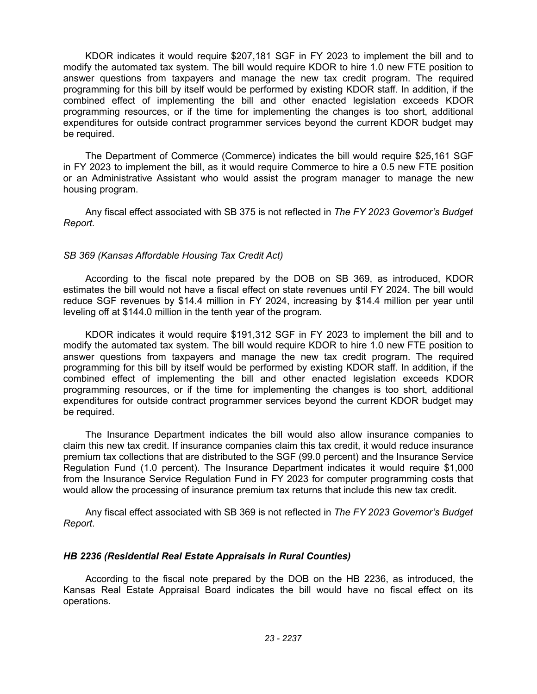KDOR indicates it would require \$207,181 SGF in FY 2023 to implement the bill and to modify the automated tax system. The bill would require KDOR to hire 1.0 new FTE position to answer questions from taxpayers and manage the new tax credit program. The required programming for this bill by itself would be performed by existing KDOR staff. In addition, if the combined effect of implementing the bill and other enacted legislation exceeds KDOR programming resources, or if the time for implementing the changes is too short, additional expenditures for outside contract programmer services beyond the current KDOR budget may be required.

The Department of Commerce (Commerce) indicates the bill would require \$25,161 SGF in FY 2023 to implement the bill, as it would require Commerce to hire a 0.5 new FTE position or an Administrative Assistant who would assist the program manager to manage the new housing program.

Any fiscal effect associated with SB 375 is not reflected in *The FY 2023 Governor's Budget Report.*

### *SB 369 (Kansas Affordable Housing Tax Credit Act)*

According to the fiscal note prepared by the DOB on SB 369, as introduced, KDOR estimates the bill would not have a fiscal effect on state revenues until FY 2024. The bill would reduce SGF revenues by \$14.4 million in FY 2024, increasing by \$14.4 million per year until leveling off at \$144.0 million in the tenth year of the program.

KDOR indicates it would require \$191,312 SGF in FY 2023 to implement the bill and to modify the automated tax system. The bill would require KDOR to hire 1.0 new FTE position to answer questions from taxpayers and manage the new tax credit program. The required programming for this bill by itself would be performed by existing KDOR staff. In addition, if the combined effect of implementing the bill and other enacted legislation exceeds KDOR programming resources, or if the time for implementing the changes is too short, additional expenditures for outside contract programmer services beyond the current KDOR budget may be required.

The Insurance Department indicates the bill would also allow insurance companies to claim this new tax credit. If insurance companies claim this tax credit, it would reduce insurance premium tax collections that are distributed to the SGF (99.0 percent) and the Insurance Service Regulation Fund (1.0 percent). The Insurance Department indicates it would require \$1,000 from the Insurance Service Regulation Fund in FY 2023 for computer programming costs that would allow the processing of insurance premium tax returns that include this new tax credit.

Any fiscal effect associated with SB 369 is not reflected in *The FY 2023 Governor's Budget Report*.

#### *HB 2236 (Residential Real Estate Appraisals in Rural Counties)*

According to the fiscal note prepared by the DOB on the HB 2236, as introduced, the Kansas Real Estate Appraisal Board indicates the bill would have no fiscal effect on its operations.